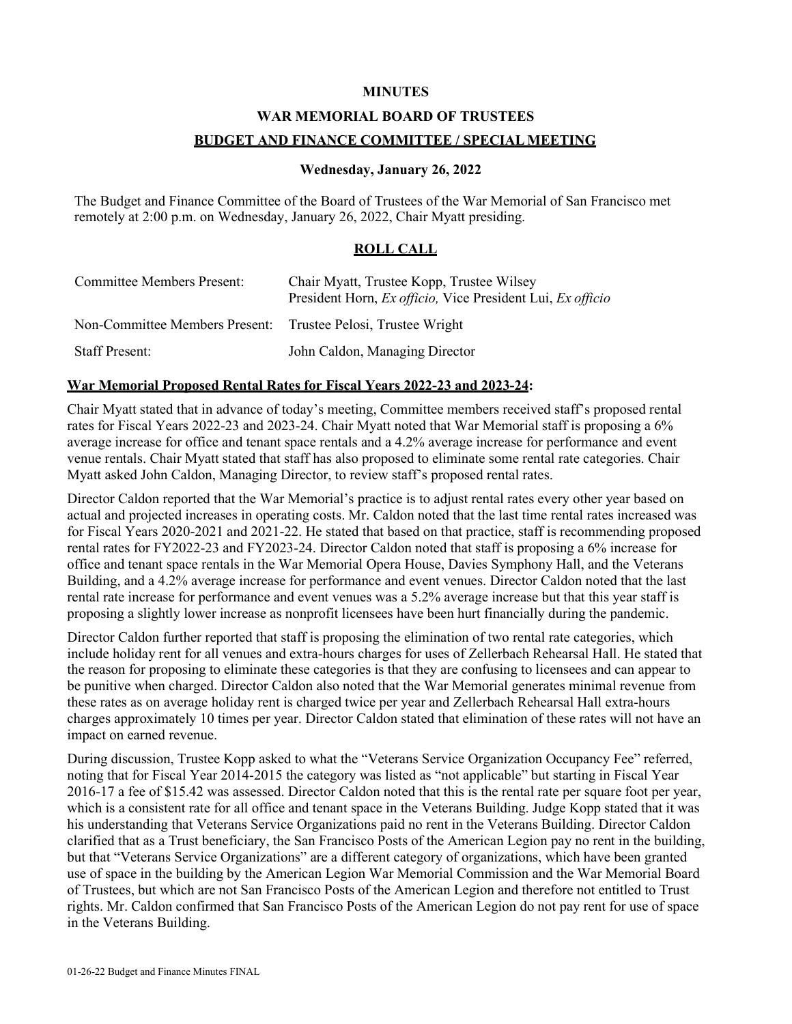# **MINUTES**

# **WAR MEMORIAL BOARD OF TRUSTEES**

# **BUDGET AND FINANCE COMMITTEE / SPECIAL MEETING**

### **Wednesday, January 26, 2022**

The Budget and Finance Committee of the Board of Trustees of the War Memorial of San Francisco met remotely at 2:00 p.m. on Wednesday, January 26, 2022, Chair Myatt presiding.

# **ROLL CALL**

| Committee Members Present:                                    | Chair Myatt, Trustee Kopp, Trustee Wilsey<br>President Horn, Ex officio, Vice President Lui, Ex officio |
|---------------------------------------------------------------|---------------------------------------------------------------------------------------------------------|
| Non-Committee Members Present: Trustee Pelosi, Trustee Wright |                                                                                                         |
| <b>Staff Present:</b>                                         | John Caldon, Managing Director                                                                          |

### **War Memorial Proposed Rental Rates for Fiscal Years 2022-23 and 2023-24:**

Chair Myatt stated that in advance of today's meeting, Committee members received staff's proposed rental rates for Fiscal Years 2022-23 and 2023-24. Chair Myatt noted that War Memorial staff is proposing a 6% average increase for office and tenant space rentals and a 4.2% average increase for performance and event venue rentals. Chair Myatt stated that staff has also proposed to eliminate some rental rate categories. Chair Myatt asked John Caldon, Managing Director, to review staff's proposed rental rates.

Director Caldon reported that the War Memorial's practice is to adjust rental rates every other year based on actual and projected increases in operating costs. Mr. Caldon noted that the last time rental rates increased was for Fiscal Years 2020-2021 and 2021-22. He stated that based on that practice, staff is recommending proposed rental rates for FY2022-23 and FY2023-24. Director Caldon noted that staff is proposing a 6% increase for office and tenant space rentals in the War Memorial Opera House, Davies Symphony Hall, and the Veterans Building, and a 4.2% average increase for performance and event venues. Director Caldon noted that the last rental rate increase for performance and event venues was a 5.2% average increase but that this year staff is proposing a slightly lower increase as nonprofit licensees have been hurt financially during the pandemic.

Director Caldon further reported that staff is proposing the elimination of two rental rate categories, which include holiday rent for all venues and extra-hours charges for uses of Zellerbach Rehearsal Hall. He stated that the reason for proposing to eliminate these categories is that they are confusing to licensees and can appear to be punitive when charged. Director Caldon also noted that the War Memorial generates minimal revenue from these rates as on average holiday rent is charged twice per year and Zellerbach Rehearsal Hall extra-hours charges approximately 10 times per year. Director Caldon stated that elimination of these rates will not have an impact on earned revenue.

During discussion, Trustee Kopp asked to what the "Veterans Service Organization Occupancy Fee" referred, noting that for Fiscal Year 2014-2015 the category was listed as "not applicable" but starting in Fiscal Year 2016-17 a fee of \$15.42 was assessed. Director Caldon noted that this is the rental rate per square foot per year, which is a consistent rate for all office and tenant space in the Veterans Building. Judge Kopp stated that it was his understanding that Veterans Service Organizations paid no rent in the Veterans Building. Director Caldon clarified that as a Trust beneficiary, the San Francisco Posts of the American Legion pay no rent in the building, but that "Veterans Service Organizations" are a different category of organizations, which have been granted use of space in the building by the American Legion War Memorial Commission and the War Memorial Board of Trustees, but which are not San Francisco Posts of the American Legion and therefore not entitled to Trust rights. Mr. Caldon confirmed that San Francisco Posts of the American Legion do not pay rent for use of space in the Veterans Building.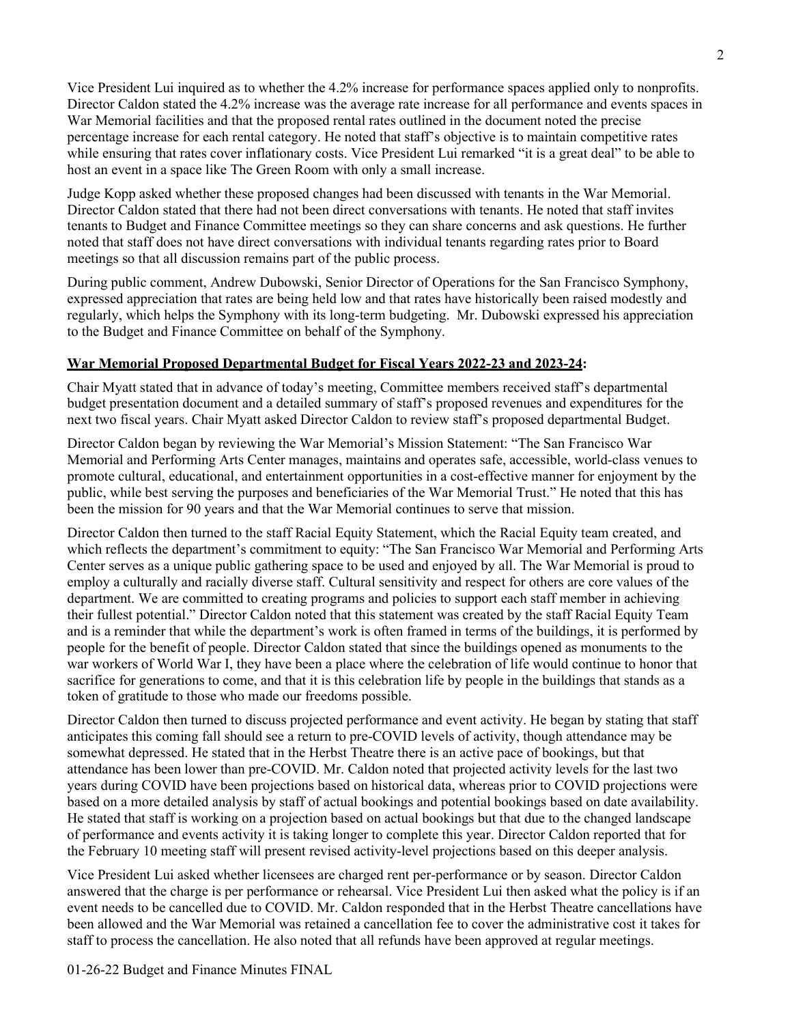Vice President Lui inquired as to whether the 4.2% increase for performance spaces applied only to nonprofits. Director Caldon stated the 4.2% increase was the average rate increase for all performance and events spaces in War Memorial facilities and that the proposed rental rates outlined in the document noted the precise percentage increase for each rental category. He noted that staff's objective is to maintain competitive rates while ensuring that rates cover inflationary costs. Vice President Lui remarked "it is a great deal" to be able to host an event in a space like The Green Room with only a small increase.

Judge Kopp asked whether these proposed changes had been discussed with tenants in the War Memorial. Director Caldon stated that there had not been direct conversations with tenants. He noted that staff invites tenants to Budget and Finance Committee meetings so they can share concerns and ask questions. He further noted that staff does not have direct conversations with individual tenants regarding rates prior to Board meetings so that all discussion remains part of the public process.

During public comment, Andrew Dubowski, Senior Director of Operations for the San Francisco Symphony, expressed appreciation that rates are being held low and that rates have historically been raised modestly and regularly, which helps the Symphony with its long-term budgeting. Mr. Dubowski expressed his appreciation to the Budget and Finance Committee on behalf of the Symphony.

# **War Memorial Proposed Departmental Budget for Fiscal Years 2022-23 and 2023-24:**

Chair Myatt stated that in advance of today's meeting, Committee members received staff's departmental budget presentation document and a detailed summary of staff's proposed revenues and expenditures for the next two fiscal years. Chair Myatt asked Director Caldon to review staff's proposed departmental Budget.

Director Caldon began by reviewing the War Memorial's Mission Statement: "The San Francisco War Memorial and Performing Arts Center manages, maintains and operates safe, accessible, world-class venues to promote cultural, educational, and entertainment opportunities in a cost-effective manner for enjoyment by the public, while best serving the purposes and beneficiaries of the War Memorial Trust." He noted that this has been the mission for 90 years and that the War Memorial continues to serve that mission.

Director Caldon then turned to the staff Racial Equity Statement, which the Racial Equity team created, and which reflects the department's commitment to equity: "The San Francisco War Memorial and Performing Arts Center serves as a unique public gathering space to be used and enjoyed by all. The War Memorial is proud to employ a culturally and racially diverse staff. Cultural sensitivity and respect for others are core values of the department. We are committed to creating programs and policies to support each staff member in achieving their fullest potential." Director Caldon noted that this statement was created by the staff Racial Equity Team and is a reminder that while the department's work is often framed in terms of the buildings, it is performed by people for the benefit of people. Director Caldon stated that since the buildings opened as monuments to the war workers of World War I, they have been a place where the celebration of life would continue to honor that sacrifice for generations to come, and that it is this celebration life by people in the buildings that stands as a token of gratitude to those who made our freedoms possible.

Director Caldon then turned to discuss projected performance and event activity. He began by stating that staff anticipates this coming fall should see a return to pre-COVID levels of activity, though attendance may be somewhat depressed. He stated that in the Herbst Theatre there is an active pace of bookings, but that attendance has been lower than pre-COVID. Mr. Caldon noted that projected activity levels for the last two years during COVID have been projections based on historical data, whereas prior to COVID projections were based on a more detailed analysis by staff of actual bookings and potential bookings based on date availability. He stated that staff is working on a projection based on actual bookings but that due to the changed landscape of performance and events activity it is taking longer to complete this year. Director Caldon reported that for the February 10 meeting staff will present revised activity-level projections based on this deeper analysis.

Vice President Lui asked whether licensees are charged rent per-performance or by season. Director Caldon answered that the charge is per performance or rehearsal. Vice President Lui then asked what the policy is if an event needs to be cancelled due to COVID. Mr. Caldon responded that in the Herbst Theatre cancellations have been allowed and the War Memorial was retained a cancellation fee to cover the administrative cost it takes for staff to process the cancellation. He also noted that all refunds have been approved at regular meetings.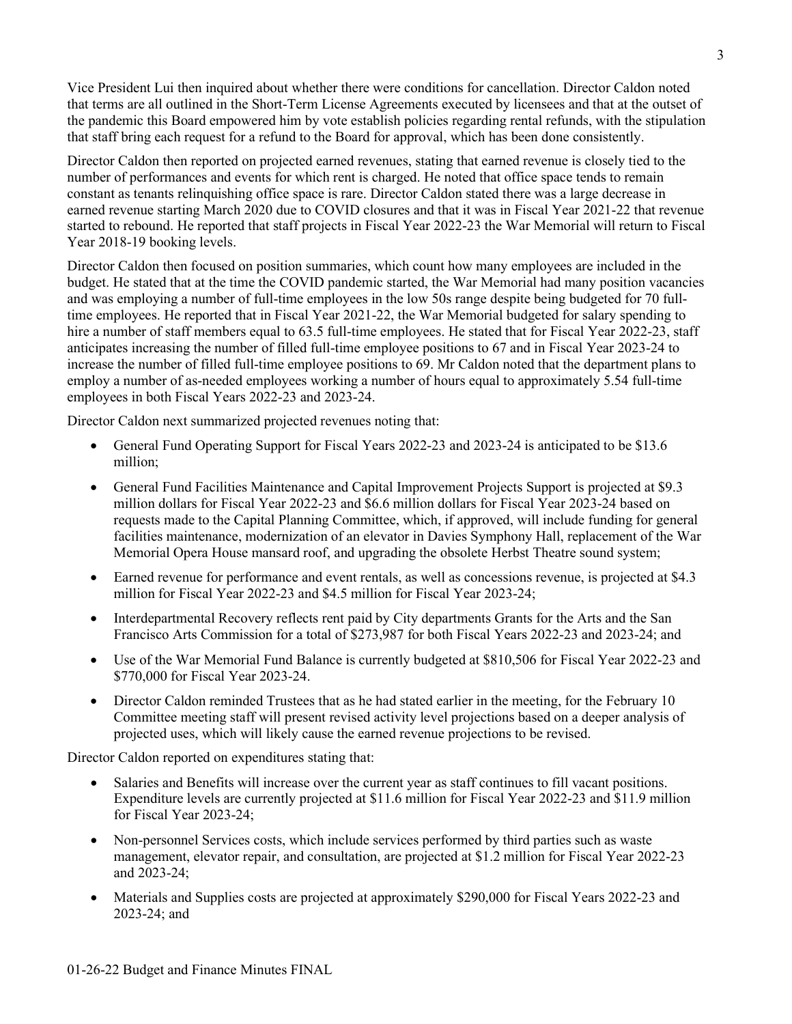Vice President Lui then inquired about whether there were conditions for cancellation. Director Caldon noted that terms are all outlined in the Short-Term License Agreements executed by licensees and that at the outset of the pandemic this Board empowered him by vote establish policies regarding rental refunds, with the stipulation that staff bring each request for a refund to the Board for approval, which has been done consistently.

Director Caldon then reported on projected earned revenues, stating that earned revenue is closely tied to the number of performances and events for which rent is charged. He noted that office space tends to remain constant as tenants relinquishing office space is rare. Director Caldon stated there was a large decrease in earned revenue starting March 2020 due to COVID closures and that it was in Fiscal Year 2021-22 that revenue started to rebound. He reported that staff projects in Fiscal Year 2022-23 the War Memorial will return to Fiscal Year 2018-19 booking levels.

Director Caldon then focused on position summaries, which count how many employees are included in the budget. He stated that at the time the COVID pandemic started, the War Memorial had many position vacancies and was employing a number of full-time employees in the low 50s range despite being budgeted for 70 fulltime employees. He reported that in Fiscal Year 2021-22, the War Memorial budgeted for salary spending to hire a number of staff members equal to 63.5 full-time employees. He stated that for Fiscal Year 2022-23, staff anticipates increasing the number of filled full-time employee positions to 67 and in Fiscal Year 2023-24 to increase the number of filled full-time employee positions to 69. Mr Caldon noted that the department plans to employ a number of as-needed employees working a number of hours equal to approximately 5.54 full-time employees in both Fiscal Years 2022-23 and 2023-24.

Director Caldon next summarized projected revenues noting that:

- General Fund Operating Support for Fiscal Years 2022-23 and 2023-24 is anticipated to be \$13.6 million;
- General Fund Facilities Maintenance and Capital Improvement Projects Support is projected at \$9.3 million dollars for Fiscal Year 2022-23 and \$6.6 million dollars for Fiscal Year 2023-24 based on requests made to the Capital Planning Committee, which, if approved, will include funding for general facilities maintenance, modernization of an elevator in Davies Symphony Hall, replacement of the War Memorial Opera House mansard roof, and upgrading the obsolete Herbst Theatre sound system;
- Earned revenue for performance and event rentals, as well as concessions revenue, is projected at \$4.3 million for Fiscal Year 2022-23 and \$4.5 million for Fiscal Year 2023-24;
- Interdepartmental Recovery reflects rent paid by City departments Grants for the Arts and the San Francisco Arts Commission for a total of \$273,987 for both Fiscal Years 2022-23 and 2023-24; and
- Use of the War Memorial Fund Balance is currently budgeted at \$810,506 for Fiscal Year 2022-23 and \$770,000 for Fiscal Year 2023-24.
- Director Caldon reminded Trustees that as he had stated earlier in the meeting, for the February 10 Committee meeting staff will present revised activity level projections based on a deeper analysis of projected uses, which will likely cause the earned revenue projections to be revised.

Director Caldon reported on expenditures stating that:

- Salaries and Benefits will increase over the current year as staff continues to fill vacant positions. Expenditure levels are currently projected at \$11.6 million for Fiscal Year 2022-23 and \$11.9 million for Fiscal Year 2023-24;
- Non-personnel Services costs, which include services performed by third parties such as waste management, elevator repair, and consultation, are projected at \$1.2 million for Fiscal Year 2022-23 and 2023-24;
- Materials and Supplies costs are projected at approximately \$290,000 for Fiscal Years 2022-23 and 2023-24; and